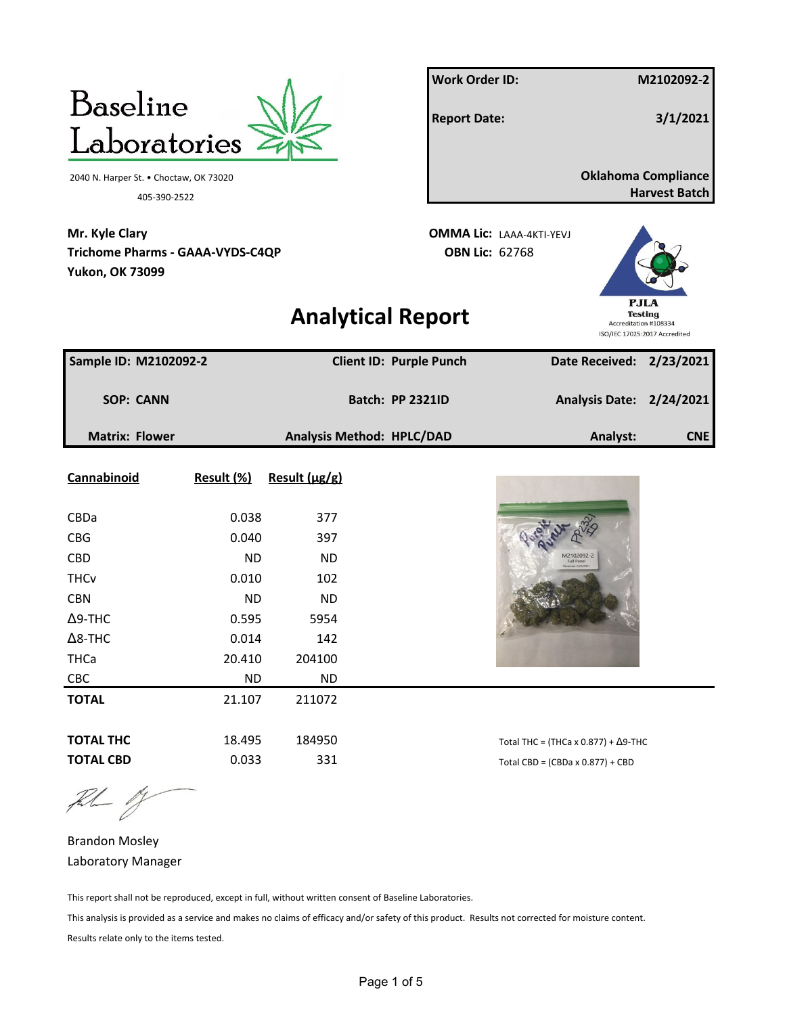|                                                                                     |            |               |                                  | <b>Work Order ID:</b> |                                             |                       | M2102092-2                                              |
|-------------------------------------------------------------------------------------|------------|---------------|----------------------------------|-----------------------|---------------------------------------------|-----------------------|---------------------------------------------------------|
| <b>Baseline</b>                                                                     |            |               |                                  | <b>Report Date:</b>   |                                             |                       | 3/1/2021                                                |
| Laboratories                                                                        |            |               |                                  |                       |                                             |                       |                                                         |
| 2040 N. Harper St. • Choctaw, OK 73020<br>405-390-2522                              |            |               |                                  |                       |                                             |                       | <b>Oklahoma Compliance</b><br><b>Harvest Batch</b>      |
| Mr. Kyle Clary<br><b>Trichome Pharms - GAAA-VYDS-C4QP</b><br><b>Yukon, OK 73099</b> |            |               |                                  | <b>OBN Lic: 62768</b> | <b>OMMA Lic: LAAA-4KTI-YEVJ</b>             |                       |                                                         |
|                                                                                     |            |               | <b>Analytical Report</b>         |                       |                                             | Accreditation #108334 | PJLA<br><b>Testing</b><br>ISO/IEC 17025:2017 Accredited |
| Sample ID: M2102092-2                                                               |            |               | <b>Client ID: Purple Punch</b>   |                       |                                             |                       | Date Received: 2/23/2021                                |
| <b>SOP: CANN</b>                                                                    |            |               | <b>Batch: PP 2321ID</b>          |                       |                                             |                       | Analysis Date: 2/24/2021                                |
| <b>Matrix: Flower</b>                                                               |            |               | <b>Analysis Method: HPLC/DAD</b> |                       |                                             | Analyst:              | CNE                                                     |
| Cannabinoid                                                                         | Result (%) | Result (µg/g) |                                  |                       |                                             |                       |                                                         |
| CBDa                                                                                | 0.038      | 377           |                                  |                       |                                             |                       |                                                         |
| <b>CBG</b>                                                                          | 0.040      | 397           |                                  |                       |                                             |                       |                                                         |
| <b>CBD</b>                                                                          | <b>ND</b>  | <b>ND</b>     |                                  |                       |                                             |                       |                                                         |
| <b>THCv</b>                                                                         | 0.010      | 102           |                                  |                       |                                             |                       |                                                         |
| <b>CBN</b>                                                                          | <b>ND</b>  | <b>ND</b>     |                                  |                       |                                             |                       |                                                         |
| $\Delta$ 9-THC                                                                      | 0.595      | 5954          |                                  |                       |                                             |                       |                                                         |
| $\Delta$ 8-THC                                                                      | 0.014      | 142           |                                  |                       |                                             |                       |                                                         |
| <b>THCa</b>                                                                         | 20.410     | 204100        |                                  |                       |                                             |                       |                                                         |
| CBC                                                                                 | <b>ND</b>  | <b>ND</b>     |                                  |                       |                                             |                       |                                                         |
| <b>TOTAL</b>                                                                        | 21.107     | 211072        |                                  |                       |                                             |                       |                                                         |
| <b>TOTAL THC</b>                                                                    | 18.495     | 184950        |                                  |                       | Total THC = (THCa x 0.877) + $\Delta$ 9-THC |                       |                                                         |
| <b>TOTAL CBD</b>                                                                    | 0.033      | 331           |                                  |                       | Total CBD = $(CBDa \times 0.877) + CBD$     |                       |                                                         |

 $\begin{picture}(20,20) \put(0,0){\vector(1,0){10}} \put(15,0){\vector(1,0){10}} \put(15,0){\vector(1,0){10}} \put(15,0){\vector(1,0){10}} \put(15,0){\vector(1,0){10}} \put(15,0){\vector(1,0){10}} \put(15,0){\vector(1,0){10}} \put(15,0){\vector(1,0){10}} \put(15,0){\vector(1,0){10}} \put(15,0){\vector(1,0){10}} \put(15,0){\vector(1,0){10}} \put(15,0){\vector(1$ 

Brandon Mosley Laboratory Manager

This report shall not be reproduced, except in full, without written consent of Baseline Laboratories.

This analysis is provided as a service and makes no claims of efficacy and/or safety of this product. Results not corrected for moisture content. Results relate only to the items tested.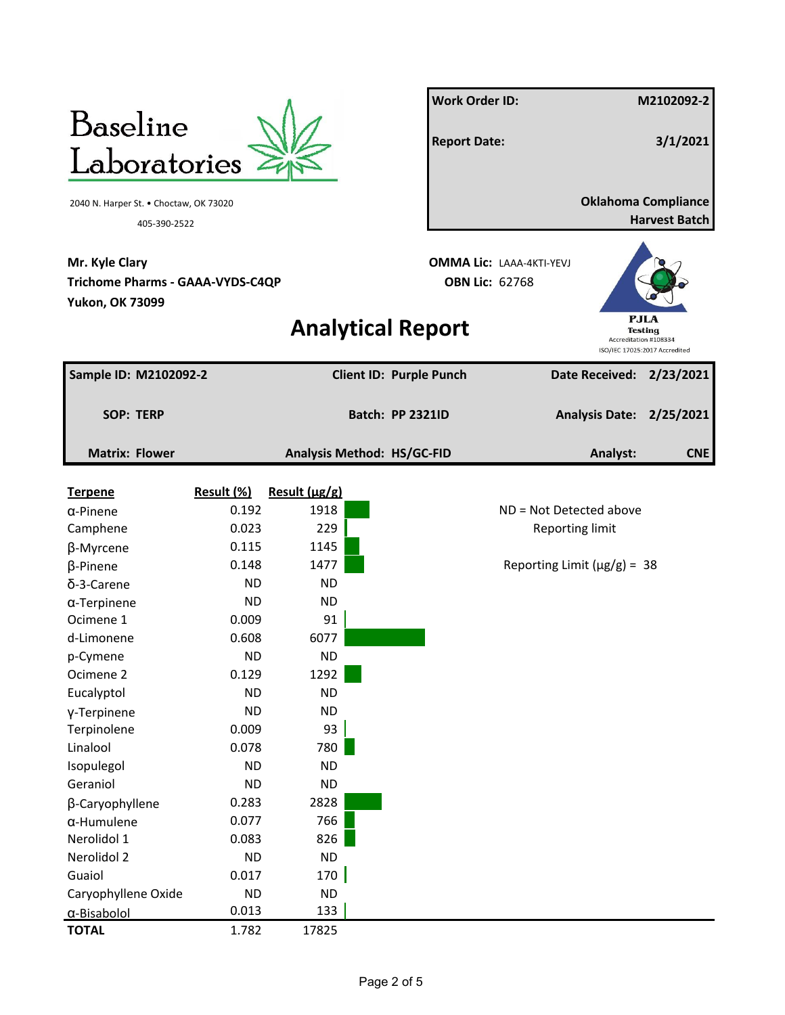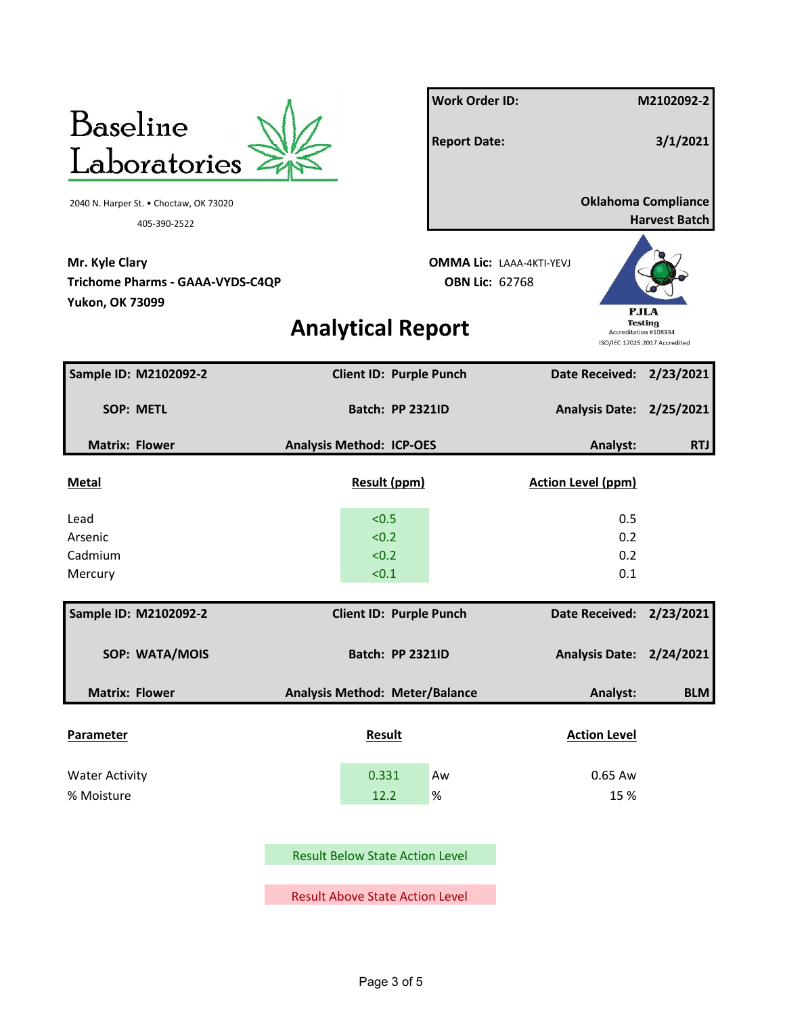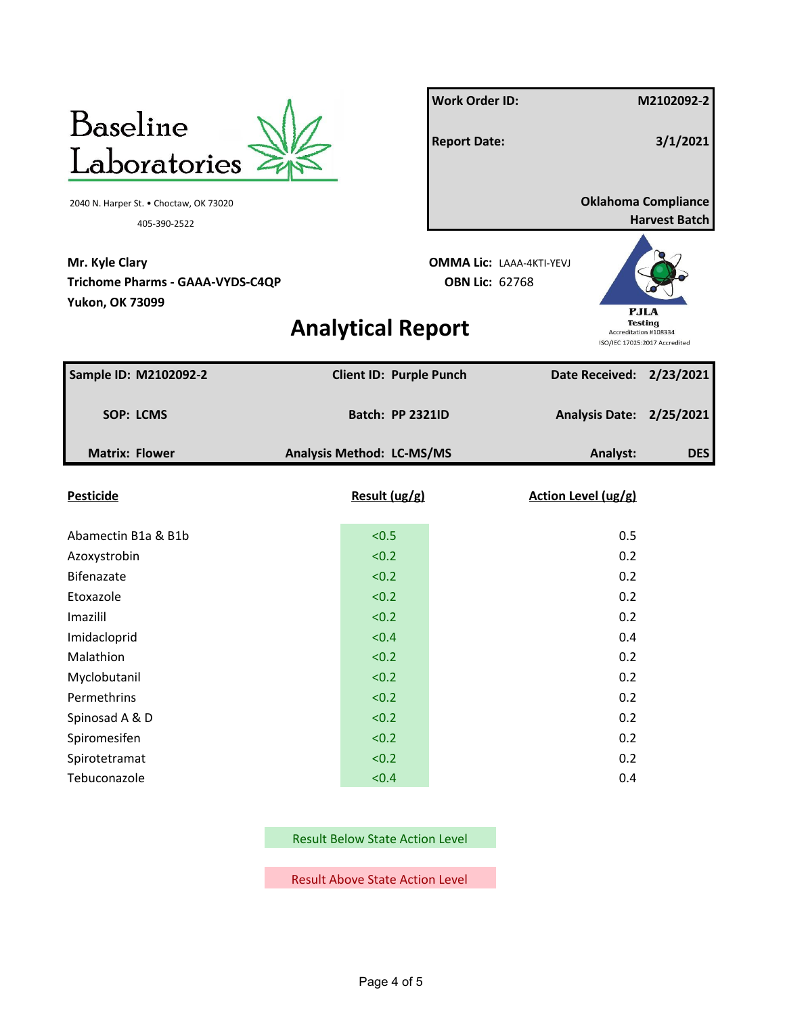

**Mr. Kyle Clary OMMA Lic:** LAAA-4KTI-YEVJ **Trichome Pharms - GAAA-VYDS-C4QP OBN Lic:** 62768 **Yukon, OK 73099**

**Work Order ID: M2102092-2 Report Date: 3/1/2021** 2040 N. Harper St. • Choctaw, OK 73020 **Oklahoma Compliance** 405-390-2522 **Harvest Batch**



## **Analytical Report**

| Sample ID: M2102092-2 |  | <b>Client ID: Purple Punch</b> |  | Date Received: 2/23/2021 |            |
|-----------------------|--|--------------------------------|--|--------------------------|------------|
| <b>SOP: LCMS</b>      |  | <b>Batch: PP 2321ID</b>        |  | Analysis Date: 2/25/2021 |            |
| <b>Matrix: Flower</b> |  | Analysis Method: LC-MS/MS      |  | Analyst:                 | <b>DES</b> |
| <b>Pesticide</b>      |  | Result (ug/g)                  |  | Action Level (ug/g)      |            |
| Abamectin B1a & B1b   |  | < 0.5                          |  | 0.5                      |            |
| Azoxystrobin          |  | < 0.2                          |  | 0.2                      |            |
| Bifenazate            |  | < 0.2                          |  | 0.2                      |            |
| Etoxazole             |  | < 0.2                          |  | 0.2                      |            |
| Imazilil              |  | < 0.2                          |  | 0.2                      |            |
| Imidacloprid          |  | < 0.4                          |  | 0.4                      |            |
| Malathion             |  | < 0.2                          |  | 0.2                      |            |
| Myclobutanil          |  | < 0.2                          |  | 0.2                      |            |
| Permethrins           |  | < 0.2                          |  | 0.2                      |            |
| Spinosad A & D        |  | < 0.2                          |  | 0.2                      |            |
| Spiromesifen          |  | < 0.2                          |  | 0.2                      |            |
| Spirotetramat         |  | < 0.2                          |  | 0.2                      |            |
| Tebuconazole          |  | < 0.4                          |  | 0.4                      |            |

Result Below State Action Level

Result Above State Action Level